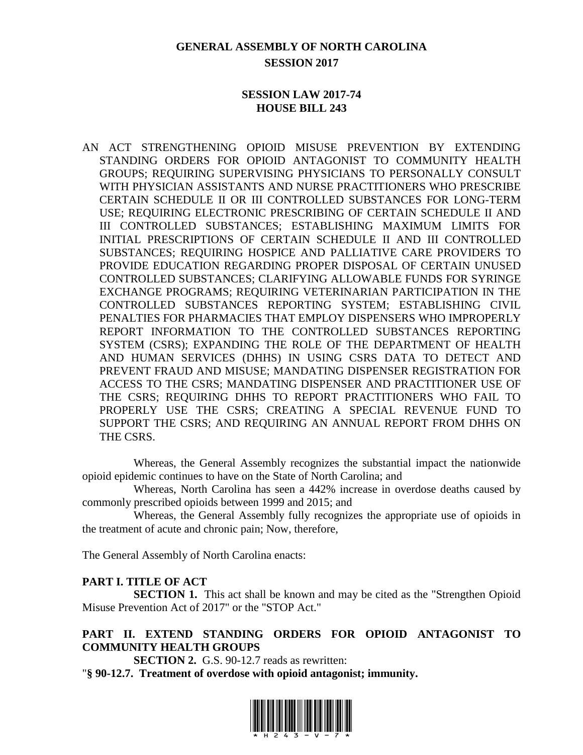# **GENERAL ASSEMBLY OF NORTH CAROLINA SESSION 2017**

#### **SESSION LAW 2017-74 HOUSE BILL 243**

AN ACT STRENGTHENING OPIOID MISUSE PREVENTION BY EXTENDING STANDING ORDERS FOR OPIOID ANTAGONIST TO COMMUNITY HEALTH GROUPS; REQUIRING SUPERVISING PHYSICIANS TO PERSONALLY CONSULT WITH PHYSICIAN ASSISTANTS AND NURSE PRACTITIONERS WHO PRESCRIBE CERTAIN SCHEDULE II OR III CONTROLLED SUBSTANCES FOR LONG-TERM USE; REQUIRING ELECTRONIC PRESCRIBING OF CERTAIN SCHEDULE II AND III CONTROLLED SUBSTANCES; ESTABLISHING MAXIMUM LIMITS FOR INITIAL PRESCRIPTIONS OF CERTAIN SCHEDULE II AND III CONTROLLED SUBSTANCES; REQUIRING HOSPICE AND PALLIATIVE CARE PROVIDERS TO PROVIDE EDUCATION REGARDING PROPER DISPOSAL OF CERTAIN UNUSED CONTROLLED SUBSTANCES; CLARIFYING ALLOWABLE FUNDS FOR SYRINGE EXCHANGE PROGRAMS; REQUIRING VETERINARIAN PARTICIPATION IN THE CONTROLLED SUBSTANCES REPORTING SYSTEM; ESTABLISHING CIVIL PENALTIES FOR PHARMACIES THAT EMPLOY DISPENSERS WHO IMPROPERLY REPORT INFORMATION TO THE CONTROLLED SUBSTANCES REPORTING SYSTEM (CSRS); EXPANDING THE ROLE OF THE DEPARTMENT OF HEALTH AND HUMAN SERVICES (DHHS) IN USING CSRS DATA TO DETECT AND PREVENT FRAUD AND MISUSE; MANDATING DISPENSER REGISTRATION FOR ACCESS TO THE CSRS; MANDATING DISPENSER AND PRACTITIONER USE OF THE CSRS; REQUIRING DHHS TO REPORT PRACTITIONERS WHO FAIL TO PROPERLY USE THE CSRS; CREATING A SPECIAL REVENUE FUND TO SUPPORT THE CSRS; AND REQUIRING AN ANNUAL REPORT FROM DHHS ON THE CSRS.

Whereas, the General Assembly recognizes the substantial impact the nationwide opioid epidemic continues to have on the State of North Carolina; and

Whereas, North Carolina has seen a 442% increase in overdose deaths caused by commonly prescribed opioids between 1999 and 2015; and

Whereas, the General Assembly fully recognizes the appropriate use of opioids in the treatment of acute and chronic pain; Now, therefore,

The General Assembly of North Carolina enacts:

#### **PART I. TITLE OF ACT**

**SECTION 1.** This act shall be known and may be cited as the "Strengthen Opioid Misuse Prevention Act of 2017" or the "STOP Act."

# **PART II. EXTEND STANDING ORDERS FOR OPIOID ANTAGONIST TO COMMUNITY HEALTH GROUPS**

**SECTION 2.** G.S. 90-12.7 reads as rewritten:

"**§ 90-12.7. Treatment of overdose with opioid antagonist; immunity.**

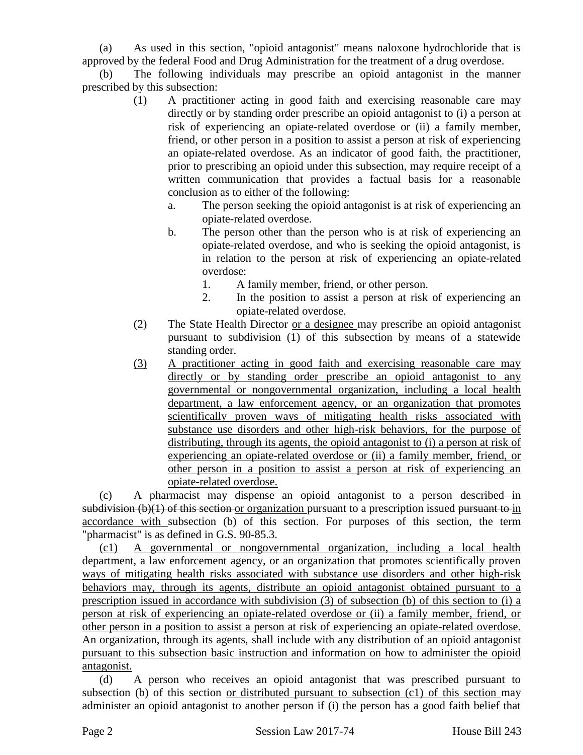(a) As used in this section, "opioid antagonist" means naloxone hydrochloride that is approved by the federal Food and Drug Administration for the treatment of a drug overdose.

The following individuals may prescribe an opioid antagonist in the manner prescribed by this subsection:

- (1) A practitioner acting in good faith and exercising reasonable care may directly or by standing order prescribe an opioid antagonist to (i) a person at risk of experiencing an opiate-related overdose or (ii) a family member, friend, or other person in a position to assist a person at risk of experiencing an opiate-related overdose. As an indicator of good faith, the practitioner, prior to prescribing an opioid under this subsection, may require receipt of a written communication that provides a factual basis for a reasonable conclusion as to either of the following:
	- a. The person seeking the opioid antagonist is at risk of experiencing an opiate-related overdose.
	- b. The person other than the person who is at risk of experiencing an opiate-related overdose, and who is seeking the opioid antagonist, is in relation to the person at risk of experiencing an opiate-related overdose:
		- 1. A family member, friend, or other person.
		- 2. In the position to assist a person at risk of experiencing an opiate-related overdose.
- (2) The State Health Director or a designee may prescribe an opioid antagonist pursuant to subdivision (1) of this subsection by means of a statewide standing order.
- (3) A practitioner acting in good faith and exercising reasonable care may directly or by standing order prescribe an opioid antagonist to any governmental or nongovernmental organization, including a local health department, a law enforcement agency, or an organization that promotes scientifically proven ways of mitigating health risks associated with substance use disorders and other high-risk behaviors, for the purpose of distributing, through its agents, the opioid antagonist to (i) a person at risk of experiencing an opiate-related overdose or (ii) a family member, friend, or other person in a position to assist a person at risk of experiencing an opiate-related overdose.

(c) A pharmacist may dispense an opioid antagonist to a person described in subdivision (b)(1) of this section or organization pursuant to a prescription issued pursuant to in accordance with subsection (b) of this section. For purposes of this section, the term "pharmacist" is as defined in G.S. 90-85.3.

(c1) A governmental or nongovernmental organization, including a local health department, a law enforcement agency, or an organization that promotes scientifically proven ways of mitigating health risks associated with substance use disorders and other high-risk behaviors may, through its agents, distribute an opioid antagonist obtained pursuant to a prescription issued in accordance with subdivision (3) of subsection (b) of this section to (i) a person at risk of experiencing an opiate-related overdose or (ii) a family member, friend, or other person in a position to assist a person at risk of experiencing an opiate-related overdose. An organization, through its agents, shall include with any distribution of an opioid antagonist pursuant to this subsection basic instruction and information on how to administer the opioid antagonist.

(d) A person who receives an opioid antagonist that was prescribed pursuant to subsection (b) of this section or distributed pursuant to subsection (c1) of this section may administer an opioid antagonist to another person if (i) the person has a good faith belief that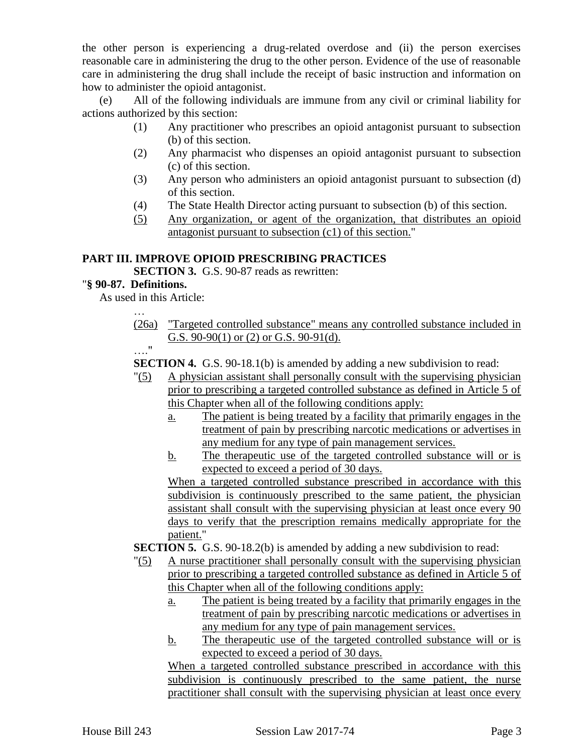the other person is experiencing a drug-related overdose and (ii) the person exercises reasonable care in administering the drug to the other person. Evidence of the use of reasonable care in administering the drug shall include the receipt of basic instruction and information on how to administer the opioid antagonist.

(e) All of the following individuals are immune from any civil or criminal liability for actions authorized by this section:

- (1) Any practitioner who prescribes an opioid antagonist pursuant to subsection (b) of this section.
- (2) Any pharmacist who dispenses an opioid antagonist pursuant to subsection (c) of this section.
- (3) Any person who administers an opioid antagonist pursuant to subsection (d) of this section.
- (4) The State Health Director acting pursuant to subsection (b) of this section.
- (5) Any organization, or agent of the organization, that distributes an opioid antagonist pursuant to subsection (c1) of this section."

#### **PART III. IMPROVE OPIOID PRESCRIBING PRACTICES**

**SECTION 3.** G.S. 90-87 reads as rewritten:

#### "**§ 90-87. Definitions.**

…

As used in this Article:

(26a) "Targeted controlled substance" means any controlled substance included in G.S. 90-90(1) or (2) or G.S. 90-91(d).

 $\mathbf{u}$ .

**SECTION 4.** G.S. 90-18.1(b) is amended by adding a new subdivision to read:

- "(5) A physician assistant shall personally consult with the supervising physician prior to prescribing a targeted controlled substance as defined in Article 5 of this Chapter when all of the following conditions apply:
	- a. The patient is being treated by a facility that primarily engages in the treatment of pain by prescribing narcotic medications or advertises in any medium for any type of pain management services.
	- b. The therapeutic use of the targeted controlled substance will or is expected to exceed a period of 30 days.

When a targeted controlled substance prescribed in accordance with this subdivision is continuously prescribed to the same patient, the physician assistant shall consult with the supervising physician at least once every 90 days to verify that the prescription remains medically appropriate for the patient."

**SECTION 5.** G.S. 90-18.2(b) is amended by adding a new subdivision to read:

- "(5) A nurse practitioner shall personally consult with the supervising physician prior to prescribing a targeted controlled substance as defined in Article 5 of this Chapter when all of the following conditions apply:
	- a. The patient is being treated by a facility that primarily engages in the treatment of pain by prescribing narcotic medications or advertises in any medium for any type of pain management services.
	- b. The therapeutic use of the targeted controlled substance will or is expected to exceed a period of 30 days.

When a targeted controlled substance prescribed in accordance with this subdivision is continuously prescribed to the same patient, the nurse practitioner shall consult with the supervising physician at least once every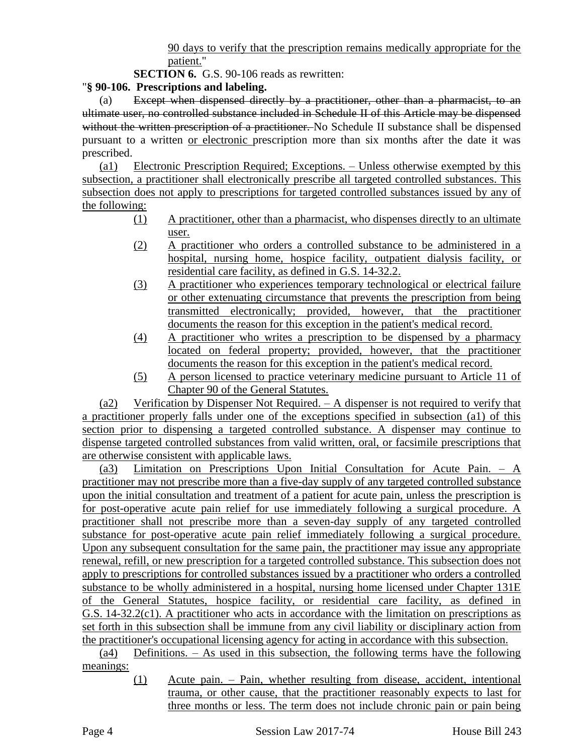90 days to verify that the prescription remains medically appropriate for the patient."

**SECTION 6.** G.S. 90-106 reads as rewritten:

## "**§ 90-106. Prescriptions and labeling.**

(a) Except when dispensed directly by a practitioner, other than a pharmacist, to an ultimate user, no controlled substance included in Schedule II of this Article may be dispensed without the written prescription of a practitioner. No Schedule II substance shall be dispensed pursuant to a written or electronic prescription more than six months after the date it was prescribed.

(a1) Electronic Prescription Required; Exceptions. – Unless otherwise exempted by this subsection, a practitioner shall electronically prescribe all targeted controlled substances. This subsection does not apply to prescriptions for targeted controlled substances issued by any of the following:

- (1) A practitioner, other than a pharmacist, who dispenses directly to an ultimate user.
- (2) A practitioner who orders a controlled substance to be administered in a hospital, nursing home, hospice facility, outpatient dialysis facility, or residential care facility, as defined in G.S. 14-32.2.
- (3) A practitioner who experiences temporary technological or electrical failure or other extenuating circumstance that prevents the prescription from being transmitted electronically; provided, however, that the practitioner documents the reason for this exception in the patient's medical record.
- (4) A practitioner who writes a prescription to be dispensed by a pharmacy located on federal property; provided, however, that the practitioner documents the reason for this exception in the patient's medical record.
- (5) A person licensed to practice veterinary medicine pursuant to Article 11 of Chapter 90 of the General Statutes.

(a2) Verification by Dispenser Not Required. – A dispenser is not required to verify that a practitioner properly falls under one of the exceptions specified in subsection (a1) of this section prior to dispensing a targeted controlled substance. A dispenser may continue to dispense targeted controlled substances from valid written, oral, or facsimile prescriptions that are otherwise consistent with applicable laws.

(a3) Limitation on Prescriptions Upon Initial Consultation for Acute Pain.  $- A$ practitioner may not prescribe more than a five-day supply of any targeted controlled substance upon the initial consultation and treatment of a patient for acute pain, unless the prescription is for post-operative acute pain relief for use immediately following a surgical procedure. A practitioner shall not prescribe more than a seven-day supply of any targeted controlled substance for post-operative acute pain relief immediately following a surgical procedure. Upon any subsequent consultation for the same pain, the practitioner may issue any appropriate renewal, refill, or new prescription for a targeted controlled substance. This subsection does not apply to prescriptions for controlled substances issued by a practitioner who orders a controlled substance to be wholly administered in a hospital, nursing home licensed under Chapter 131E of the General Statutes, hospice facility, or residential care facility, as defined in G.S. 14-32.2(c1). A practitioner who acts in accordance with the limitation on prescriptions as set forth in this subsection shall be immune from any civil liability or disciplinary action from the practitioner's occupational licensing agency for acting in accordance with this subsection.

(a4) Definitions. – As used in this subsection, the following terms have the following meanings:

> (1) Acute pain. – Pain, whether resulting from disease, accident, intentional trauma, or other cause, that the practitioner reasonably expects to last for three months or less. The term does not include chronic pain or pain being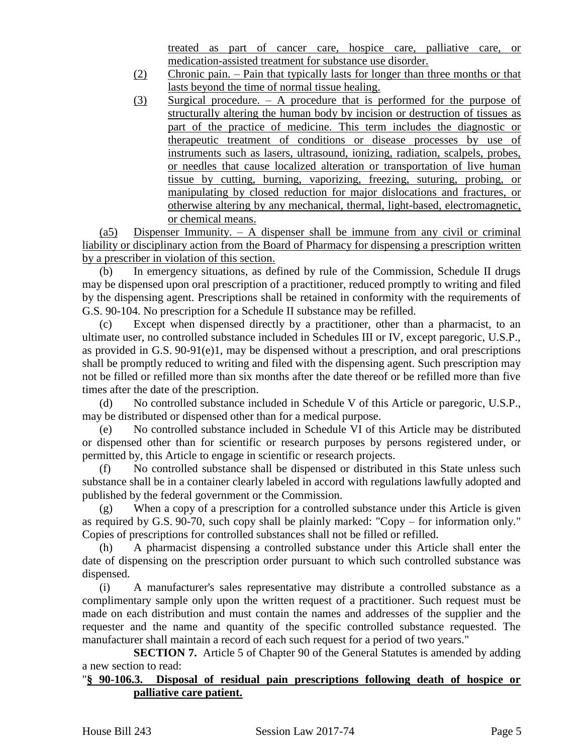treated as part of cancer care, hospice care, palliative care, or medication-assisted treatment for substance use disorder.

- (2) Chronic pain. Pain that typically lasts for longer than three months or that lasts beyond the time of normal tissue healing.
- (3) Surgical procedure. A procedure that is performed for the purpose of structurally altering the human body by incision or destruction of tissues as part of the practice of medicine. This term includes the diagnostic or therapeutic treatment of conditions or disease processes by use of instruments such as lasers, ultrasound, ionizing, radiation, scalpels, probes, or needles that cause localized alteration or transportation of live human tissue by cutting, burning, vaporizing, freezing, suturing, probing, or manipulating by closed reduction for major dislocations and fractures, or otherwise altering by any mechanical, thermal, light-based, electromagnetic, or chemical means.

(a5) Dispenser Immunity.  $-$  A dispenser shall be immune from any civil or criminal liability or disciplinary action from the Board of Pharmacy for dispensing a prescription written by a prescriber in violation of this section.

(b) In emergency situations, as defined by rule of the Commission, Schedule II drugs may be dispensed upon oral prescription of a practitioner, reduced promptly to writing and filed by the dispensing agent. Prescriptions shall be retained in conformity with the requirements of G.S. 90-104. No prescription for a Schedule II substance may be refilled.

(c) Except when dispensed directly by a practitioner, other than a pharmacist, to an ultimate user, no controlled substance included in Schedules III or IV, except paregoric, U.S.P., as provided in G.S. 90-91(e)1, may be dispensed without a prescription, and oral prescriptions shall be promptly reduced to writing and filed with the dispensing agent. Such prescription may not be filled or refilled more than six months after the date thereof or be refilled more than five times after the date of the prescription.

(d) No controlled substance included in Schedule V of this Article or paregoric, U.S.P., may be distributed or dispensed other than for a medical purpose.

(e) No controlled substance included in Schedule VI of this Article may be distributed or dispensed other than for scientific or research purposes by persons registered under, or permitted by, this Article to engage in scientific or research projects.

(f) No controlled substance shall be dispensed or distributed in this State unless such substance shall be in a container clearly labeled in accord with regulations lawfully adopted and published by the federal government or the Commission.

(g) When a copy of a prescription for a controlled substance under this Article is given as required by G.S. 90-70, such copy shall be plainly marked: "Copy – for information only." Copies of prescriptions for controlled substances shall not be filled or refilled.

(h) A pharmacist dispensing a controlled substance under this Article shall enter the date of dispensing on the prescription order pursuant to which such controlled substance was dispensed.

(i) A manufacturer's sales representative may distribute a controlled substance as a complimentary sample only upon the written request of a practitioner. Such request must be made on each distribution and must contain the names and addresses of the supplier and the requester and the name and quantity of the specific controlled substance requested. The manufacturer shall maintain a record of each such request for a period of two years."

**SECTION 7.** Article 5 of Chapter 90 of the General Statutes is amended by adding a new section to read:

#### "**§ 90-106.3. Disposal of residual pain prescriptions following death of hospice or palliative care patient.**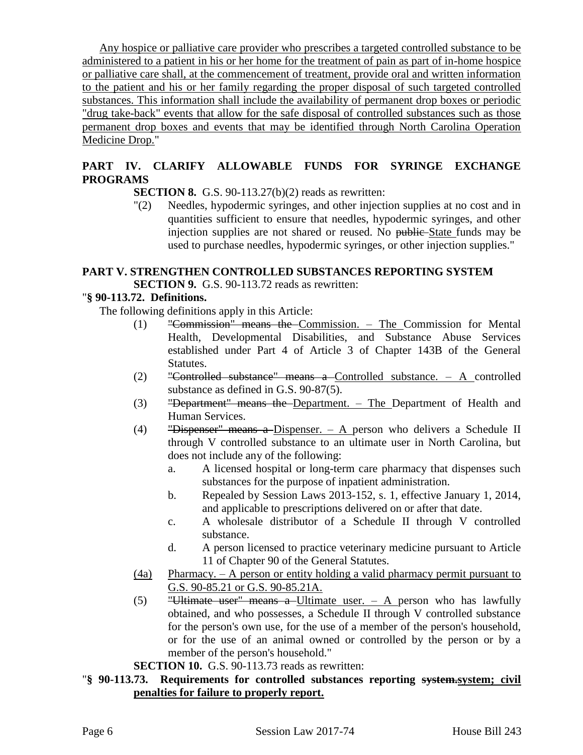Any hospice or palliative care provider who prescribes a targeted controlled substance to be administered to a patient in his or her home for the treatment of pain as part of in-home hospice or palliative care shall, at the commencement of treatment, provide oral and written information to the patient and his or her family regarding the proper disposal of such targeted controlled substances. This information shall include the availability of permanent drop boxes or periodic "drug take-back" events that allow for the safe disposal of controlled substances such as those permanent drop boxes and events that may be identified through North Carolina Operation Medicine Drop."

# **PART IV. CLARIFY ALLOWABLE FUNDS FOR SYRINGE EXCHANGE PROGRAMS**

**SECTION 8.** G.S. 90-113.27(b)(2) reads as rewritten:

"(2) Needles, hypodermic syringes, and other injection supplies at no cost and in quantities sufficient to ensure that needles, hypodermic syringes, and other injection supplies are not shared or reused. No public State funds may be used to purchase needles, hypodermic syringes, or other injection supplies."

# **PART V. STRENGTHEN CONTROLLED SUBSTANCES REPORTING SYSTEM**

**SECTION 9.** G.S. 90-113.72 reads as rewritten:

## "**§ 90-113.72. Definitions.**

The following definitions apply in this Article:

- (1) "Commission" means the Commission. The Commission for Mental Health, Developmental Disabilities, and Substance Abuse Services established under Part 4 of Article 3 of Chapter 143B of the General Statutes.
- (2) "Controlled substance" means a Controlled substance. A controlled substance as defined in G.S. 90-87(5).
- (3) "Department" means the Department. The Department of Health and Human Services.
- (4) "Dispenser" means a Dispenser.  $-$  A person who delivers a Schedule II through V controlled substance to an ultimate user in North Carolina, but does not include any of the following:
	- a. A licensed hospital or long-term care pharmacy that dispenses such substances for the purpose of inpatient administration.
	- b. Repealed by Session Laws 2013-152, s. 1, effective January 1, 2014, and applicable to prescriptions delivered on or after that date.
	- c. A wholesale distributor of a Schedule II through V controlled substance.
	- d. A person licensed to practice veterinary medicine pursuant to Article 11 of Chapter 90 of the General Statutes.
- (4a) Pharmacy. A person or entity holding a valid pharmacy permit pursuant to G.S. 90-85.21 or G.S. 90-85.21A.
- (5) "Ultimate user" means a Ultimate user.  $-$  A person who has lawfully obtained, and who possesses, a Schedule II through V controlled substance for the person's own use, for the use of a member of the person's household, or for the use of an animal owned or controlled by the person or by a member of the person's household."
- **SECTION 10.** G.S. 90-113.73 reads as rewritten:

## "**§ 90-113.73. Requirements for controlled substances reporting system.system; civil penalties for failure to properly report.**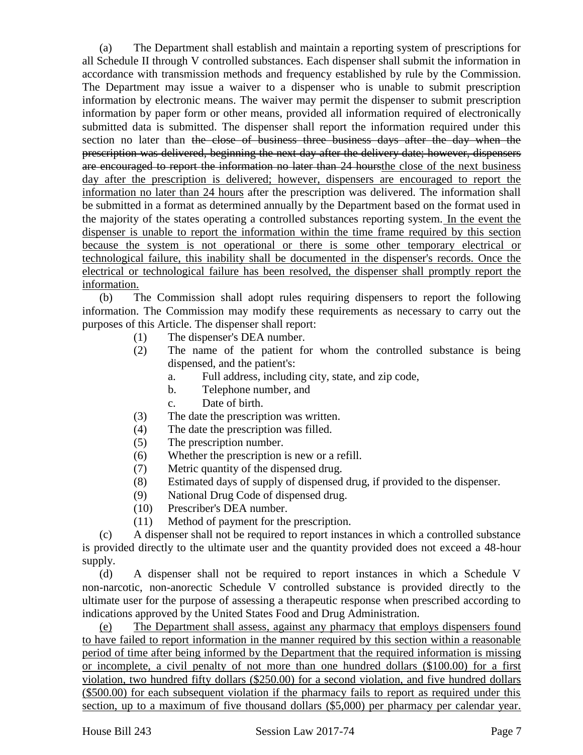(a) The Department shall establish and maintain a reporting system of prescriptions for all Schedule II through V controlled substances. Each dispenser shall submit the information in accordance with transmission methods and frequency established by rule by the Commission. The Department may issue a waiver to a dispenser who is unable to submit prescription information by electronic means. The waiver may permit the dispenser to submit prescription information by paper form or other means, provided all information required of electronically submitted data is submitted. The dispenser shall report the information required under this section no later than the close of business three business days after the day when the prescription was delivered, beginning the next day after the delivery date; however, dispensers are encouraged to report the information no later than 24 hoursthe close of the next business day after the prescription is delivered; however, dispensers are encouraged to report the information no later than 24 hours after the prescription was delivered. The information shall be submitted in a format as determined annually by the Department based on the format used in the majority of the states operating a controlled substances reporting system. In the event the dispenser is unable to report the information within the time frame required by this section because the system is not operational or there is some other temporary electrical or technological failure, this inability shall be documented in the dispenser's records. Once the electrical or technological failure has been resolved, the dispenser shall promptly report the information.

(b) The Commission shall adopt rules requiring dispensers to report the following information. The Commission may modify these requirements as necessary to carry out the purposes of this Article. The dispenser shall report:

- (1) The dispenser's DEA number.
- (2) The name of the patient for whom the controlled substance is being dispensed, and the patient's:
	- a. Full address, including city, state, and zip code,
	- b. Telephone number, and
	- c. Date of birth.
- (3) The date the prescription was written.
- (4) The date the prescription was filled.
- (5) The prescription number.
- (6) Whether the prescription is new or a refill.
- (7) Metric quantity of the dispensed drug.
- (8) Estimated days of supply of dispensed drug, if provided to the dispenser.
- (9) National Drug Code of dispensed drug.
- (10) Prescriber's DEA number.
- (11) Method of payment for the prescription.

(c) A dispenser shall not be required to report instances in which a controlled substance is provided directly to the ultimate user and the quantity provided does not exceed a 48-hour supply.

(d) A dispenser shall not be required to report instances in which a Schedule V non-narcotic, non-anorectic Schedule V controlled substance is provided directly to the ultimate user for the purpose of assessing a therapeutic response when prescribed according to indications approved by the United States Food and Drug Administration.

(e) The Department shall assess, against any pharmacy that employs dispensers found to have failed to report information in the manner required by this section within a reasonable period of time after being informed by the Department that the required information is missing or incomplete, a civil penalty of not more than one hundred dollars (\$100.00) for a first violation, two hundred fifty dollars (\$250.00) for a second violation, and five hundred dollars (\$500.00) for each subsequent violation if the pharmacy fails to report as required under this section, up to a maximum of five thousand dollars (\$5,000) per pharmacy per calendar year.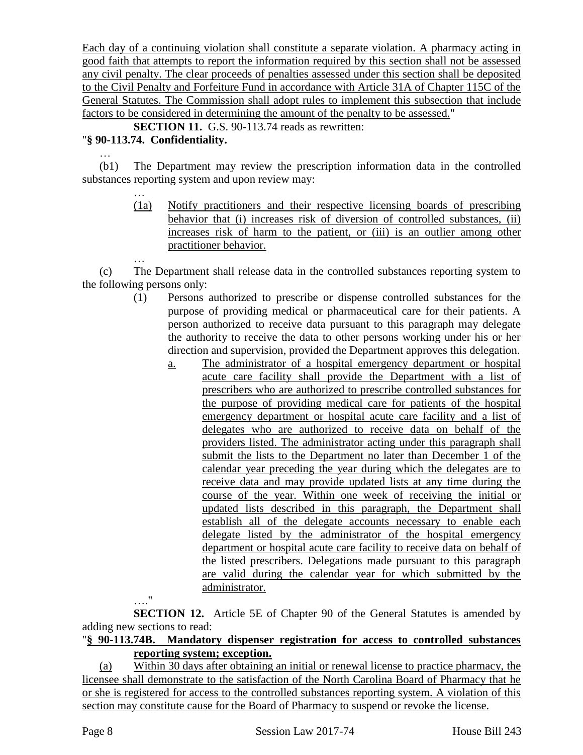Each day of a continuing violation shall constitute a separate violation. A pharmacy acting in good faith that attempts to report the information required by this section shall not be assessed any civil penalty. The clear proceeds of penalties assessed under this section shall be deposited to the Civil Penalty and Forfeiture Fund in accordance with Article 31A of Chapter 115C of the General Statutes. The Commission shall adopt rules to implement this subsection that include factors to be considered in determining the amount of the penalty to be assessed."

**SECTION 11.** G.S. 90-113.74 reads as rewritten:

# "**§ 90-113.74. Confidentiality.**

…

…

(b1) The Department may review the prescription information data in the controlled substances reporting system and upon review may:

> (1a) Notify practitioners and their respective licensing boards of prescribing behavior that (i) increases risk of diversion of controlled substances, (ii) increases risk of harm to the patient, or (iii) is an outlier among other practitioner behavior.

(c) The Department shall release data in the controlled substances reporting system to the following persons only:

- (1) Persons authorized to prescribe or dispense controlled substances for the purpose of providing medical or pharmaceutical care for their patients. A person authorized to receive data pursuant to this paragraph may delegate the authority to receive the data to other persons working under his or her direction and supervision, provided the Department approves this delegation.
	- a. The administrator of a hospital emergency department or hospital acute care facility shall provide the Department with a list of prescribers who are authorized to prescribe controlled substances for the purpose of providing medical care for patients of the hospital emergency department or hospital acute care facility and a list of delegates who are authorized to receive data on behalf of the providers listed. The administrator acting under this paragraph shall submit the lists to the Department no later than December 1 of the calendar year preceding the year during which the delegates are to receive data and may provide updated lists at any time during the course of the year. Within one week of receiving the initial or updated lists described in this paragraph, the Department shall establish all of the delegate accounts necessary to enable each delegate listed by the administrator of the hospital emergency department or hospital acute care facility to receive data on behalf of the listed prescribers. Delegations made pursuant to this paragraph are valid during the calendar year for which submitted by the administrator.

**SECTION 12.** Article 5E of Chapter 90 of the General Statutes is amended by adding new sections to read:

## "**§ 90-113.74B. Mandatory dispenser registration for access to controlled substances reporting system; exception.**

(a) Within 30 days after obtaining an initial or renewal license to practice pharmacy, the licensee shall demonstrate to the satisfaction of the North Carolina Board of Pharmacy that he or she is registered for access to the controlled substances reporting system. A violation of this section may constitute cause for the Board of Pharmacy to suspend or revoke the license.

…"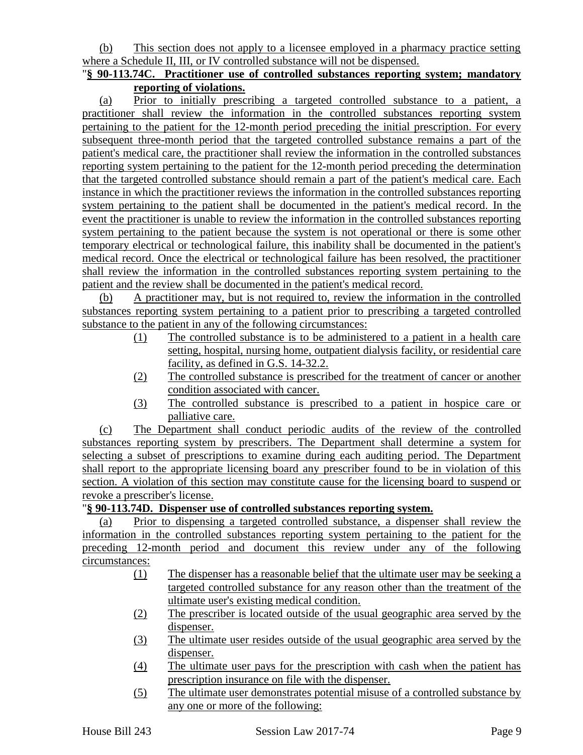(b) This section does not apply to a licensee employed in a pharmacy practice setting where a Schedule II, III, or IV controlled substance will not be dispensed.

#### "**§ 90-113.74C. Practitioner use of controlled substances reporting system; mandatory reporting of violations.**

(a) Prior to initially prescribing a targeted controlled substance to a patient, a practitioner shall review the information in the controlled substances reporting system pertaining to the patient for the 12-month period preceding the initial prescription. For every subsequent three-month period that the targeted controlled substance remains a part of the patient's medical care, the practitioner shall review the information in the controlled substances reporting system pertaining to the patient for the 12-month period preceding the determination that the targeted controlled substance should remain a part of the patient's medical care. Each instance in which the practitioner reviews the information in the controlled substances reporting system pertaining to the patient shall be documented in the patient's medical record. In the event the practitioner is unable to review the information in the controlled substances reporting system pertaining to the patient because the system is not operational or there is some other temporary electrical or technological failure, this inability shall be documented in the patient's medical record. Once the electrical or technological failure has been resolved, the practitioner shall review the information in the controlled substances reporting system pertaining to the patient and the review shall be documented in the patient's medical record.

(b) A practitioner may, but is not required to, review the information in the controlled substances reporting system pertaining to a patient prior to prescribing a targeted controlled substance to the patient in any of the following circumstances:

- (1) The controlled substance is to be administered to a patient in a health care setting, hospital, nursing home, outpatient dialysis facility, or residential care facility, as defined in G.S. 14-32.2.
- (2) The controlled substance is prescribed for the treatment of cancer or another condition associated with cancer.
- (3) The controlled substance is prescribed to a patient in hospice care or palliative care.

(c) The Department shall conduct periodic audits of the review of the controlled substances reporting system by prescribers. The Department shall determine a system for selecting a subset of prescriptions to examine during each auditing period. The Department shall report to the appropriate licensing board any prescriber found to be in violation of this section. A violation of this section may constitute cause for the licensing board to suspend or revoke a prescriber's license.

## "**§ 90-113.74D. Dispenser use of controlled substances reporting system.**

(a) Prior to dispensing a targeted controlled substance, a dispenser shall review the information in the controlled substances reporting system pertaining to the patient for the preceding 12-month period and document this review under any of the following circumstances:

- (1) The dispenser has a reasonable belief that the ultimate user may be seeking a targeted controlled substance for any reason other than the treatment of the ultimate user's existing medical condition.
- (2) The prescriber is located outside of the usual geographic area served by the dispenser.
- (3) The ultimate user resides outside of the usual geographic area served by the dispenser.
- (4) The ultimate user pays for the prescription with cash when the patient has prescription insurance on file with the dispenser.
- (5) The ultimate user demonstrates potential misuse of a controlled substance by any one or more of the following: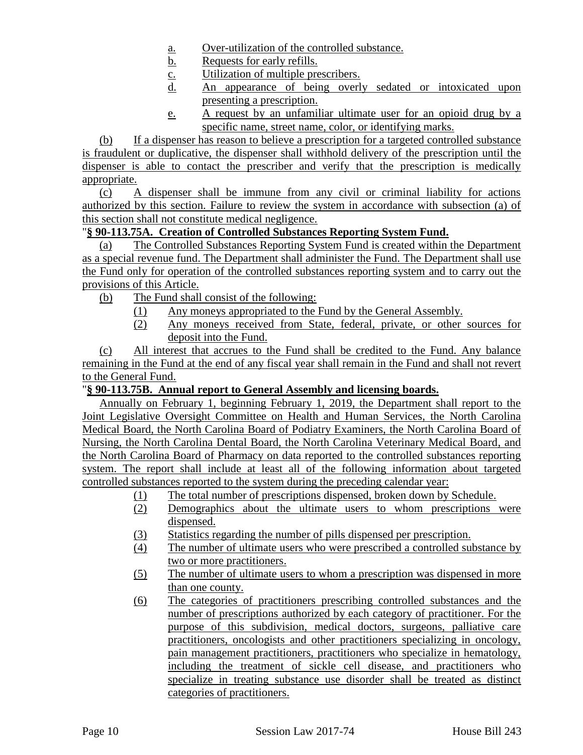- a. Over-utilization of the controlled substance.
- b. Requests for early refills.
- c. Utilization of multiple prescribers.
- d. An appearance of being overly sedated or intoxicated upon presenting a prescription.
- e. A request by an unfamiliar ultimate user for an opioid drug by a specific name, street name, color, or identifying marks.

(b) If a dispenser has reason to believe a prescription for a targeted controlled substance is fraudulent or duplicative, the dispenser shall withhold delivery of the prescription until the dispenser is able to contact the prescriber and verify that the prescription is medically appropriate.

(c) A dispenser shall be immune from any civil or criminal liability for actions authorized by this section. Failure to review the system in accordance with subsection (a) of this section shall not constitute medical negligence.

# "**§ 90-113.75A. Creation of Controlled Substances Reporting System Fund.**

(a) The Controlled Substances Reporting System Fund is created within the Department as a special revenue fund. The Department shall administer the Fund. The Department shall use the Fund only for operation of the controlled substances reporting system and to carry out the provisions of this Article.

(b) The Fund shall consist of the following:

- (1) Any moneys appropriated to the Fund by the General Assembly.
- (2) Any moneys received from State, federal, private, or other sources for deposit into the Fund.

(c) All interest that accrues to the Fund shall be credited to the Fund. Any balance remaining in the Fund at the end of any fiscal year shall remain in the Fund and shall not revert to the General Fund.

## "**§ 90-113.75B. Annual report to General Assembly and licensing boards.**

Annually on February 1, beginning February 1, 2019, the Department shall report to the Joint Legislative Oversight Committee on Health and Human Services, the North Carolina Medical Board, the North Carolina Board of Podiatry Examiners, the North Carolina Board of Nursing, the North Carolina Dental Board, the North Carolina Veterinary Medical Board, and the North Carolina Board of Pharmacy on data reported to the controlled substances reporting system. The report shall include at least all of the following information about targeted controlled substances reported to the system during the preceding calendar year:

- (1) The total number of prescriptions dispensed, broken down by Schedule.
- (2) Demographics about the ultimate users to whom prescriptions were dispensed.
- (3) Statistics regarding the number of pills dispensed per prescription.
- (4) The number of ultimate users who were prescribed a controlled substance by two or more practitioners.
- (5) The number of ultimate users to whom a prescription was dispensed in more than one county.
- (6) The categories of practitioners prescribing controlled substances and the number of prescriptions authorized by each category of practitioner. For the purpose of this subdivision, medical doctors, surgeons, palliative care practitioners, oncologists and other practitioners specializing in oncology, pain management practitioners, practitioners who specialize in hematology, including the treatment of sickle cell disease, and practitioners who specialize in treating substance use disorder shall be treated as distinct categories of practitioners.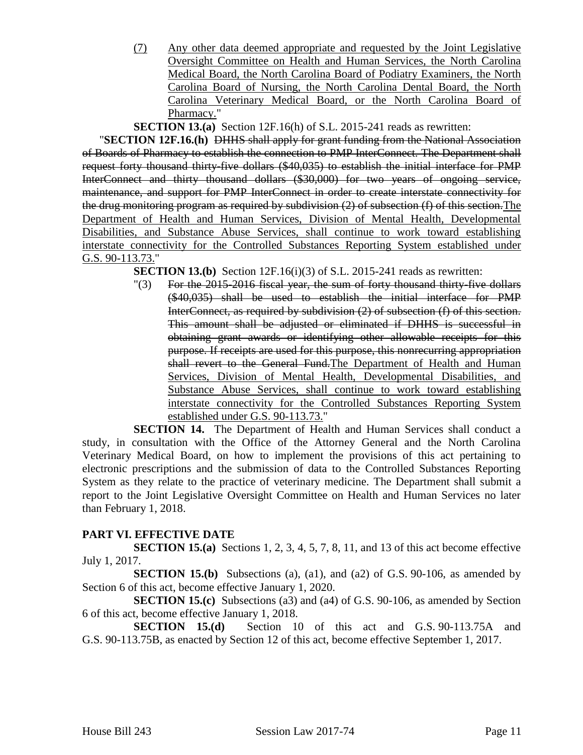(7) Any other data deemed appropriate and requested by the Joint Legislative Oversight Committee on Health and Human Services, the North Carolina Medical Board, the North Carolina Board of Podiatry Examiners, the North Carolina Board of Nursing, the North Carolina Dental Board, the North Carolina Veterinary Medical Board, or the North Carolina Board of Pharmacy."

**SECTION 13.(a)** Section 12F.16(h) of S.L. 2015-241 reads as rewritten:

"**SECTION 12F.16.(h)** DHHS shall apply for grant funding from the National Association of Boards of Pharmacy to establish the connection to PMP InterConnect. The Department shall request forty thousand thirty-five dollars (\$40,035) to establish the initial interface for PMP InterConnect and thirty thousand dollars (\$30,000) for two years of ongoing service, maintenance, and support for PMP InterConnect in order to create interstate connectivity for the drug monitoring program as required by subdivision (2) of subsection (f) of this section.The Department of Health and Human Services, Division of Mental Health, Developmental Disabilities, and Substance Abuse Services, shall continue to work toward establishing interstate connectivity for the Controlled Substances Reporting System established under G.S. 90-113.73."

**SECTION 13.(b)** Section 12F.16(i)(3) of S.L. 2015-241 reads as rewritten:

"(3) For the 2015-2016 fiscal year, the sum of forty thousand thirty-five dollars (\$40,035) shall be used to establish the initial interface for PMP InterConnect, as required by subdivision (2) of subsection (f) of this section. This amount shall be adjusted or eliminated if DHHS is successful in obtaining grant awards or identifying other allowable receipts for this purpose. If receipts are used for this purpose, this nonrecurring appropriation shall revert to the General Fund. The Department of Health and Human Services, Division of Mental Health, Developmental Disabilities, and Substance Abuse Services, shall continue to work toward establishing interstate connectivity for the Controlled Substances Reporting System established under G.S. 90-113.73."

**SECTION 14.** The Department of Health and Human Services shall conduct a study, in consultation with the Office of the Attorney General and the North Carolina Veterinary Medical Board, on how to implement the provisions of this act pertaining to electronic prescriptions and the submission of data to the Controlled Substances Reporting System as they relate to the practice of veterinary medicine. The Department shall submit a report to the Joint Legislative Oversight Committee on Health and Human Services no later than February 1, 2018.

# **PART VI. EFFECTIVE DATE**

**SECTION 15.(a)** Sections 1, 2, 3, 4, 5, 7, 8, 11, and 13 of this act become effective July 1, 2017.

**SECTION 15.(b)** Subsections (a), (a1), and (a2) of G.S. 90-106, as amended by Section 6 of this act, become effective January 1, 2020.

**SECTION 15.(c)** Subsections (a3) and (a4) of G.S. 90-106, as amended by Section 6 of this act, become effective January 1, 2018.

**SECTION 15.(d)** Section 10 of this act and G.S. 90-113.75A and G.S. 90-113.75B, as enacted by Section 12 of this act, become effective September 1, 2017.